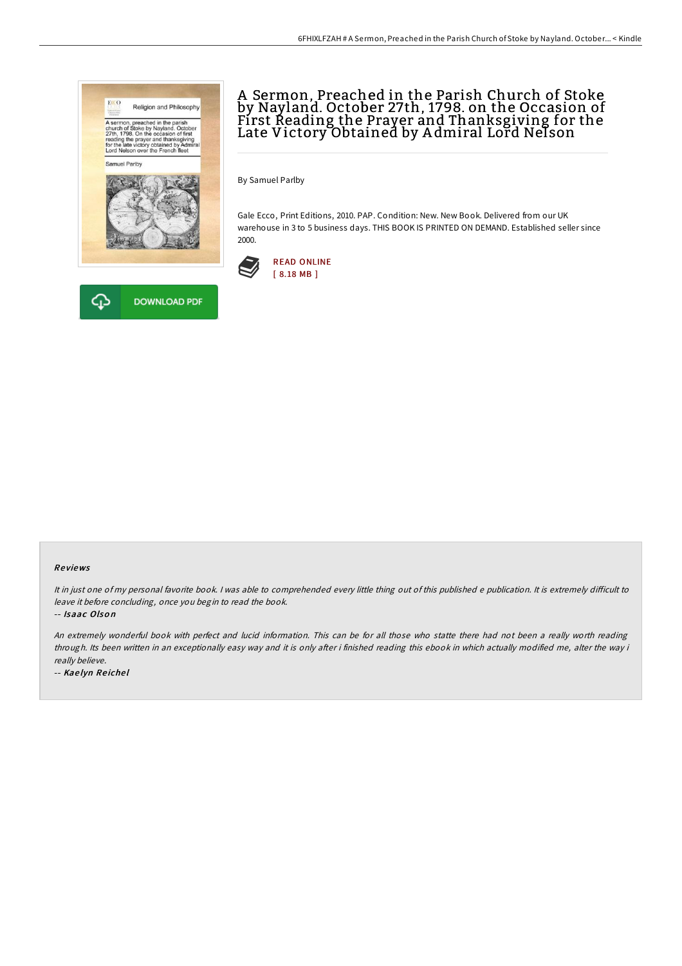



## A Sermon, Preached in the Parish Church of Stoke by Nayland. October 27th, 1798. on the Occasion of First Reading the Prayer and Thanksgiving for the Late Victory Obtained by A dmiral Lord Nelson

By Samuel Parlby

Gale Ecco, Print Editions, 2010. PAP. Condition: New. New Book. Delivered from our UK warehouse in 3 to 5 business days. THIS BOOK IS PRINTED ON DEMAND. Established seller since 2000.



## Re views

It in just one of my personal favorite book. I was able to comprehended every little thing out of this published e publication. It is extremely difficult to leave it before concluding, once you begin to read the book.

-- Isaac Olson

An extremely wonderful book with perfect and lucid information. This can be for all those who statte there had not been <sup>a</sup> really worth reading through. Its been written in an exceptionally easy way and it is only after i finished reading this ebook in which actually modified me, alter the way i really believe.

-- Kae lyn Re iche l